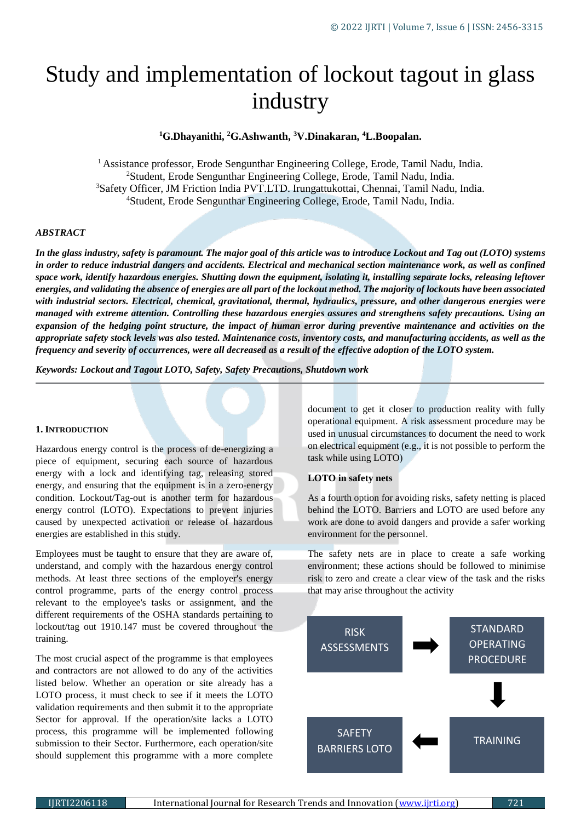# Study and implementation of lockout tagout in glass industry

# **<sup>1</sup>G.Dhayanithi, <sup>2</sup>G.Ashwanth, <sup>3</sup>V.Dinakaran, <sup>4</sup>L.Boopalan.**

<sup>1</sup> Assistance professor, Erode Sengunthar Engineering College, Erode, Tamil Nadu, India. Student, Erode Sengunthar Engineering College, Erode, Tamil Nadu, India. Safety Officer, JM Friction India PVT.LTD. Irungattukottai, Chennai, Tamil Nadu, India. Student, Erode Sengunthar Engineering College, Erode, Tamil Nadu, India.

## *ABSTRACT*

*In the glass industry, safety is paramount. The major goal of this article was to introduce Lockout and Tag out (LOTO) systems in order to reduce industrial dangers and accidents. Electrical and mechanical section maintenance work, as well as confined space work, identify hazardous energies. Shutting down the equipment, isolating it, installing separate locks, releasing leftover energies, and validating the absence of energies are all part of the lockout method. The majority of lockouts have been associated with industrial sectors. Electrical, chemical, gravitational, thermal, hydraulics, pressure, and other dangerous energies were managed with extreme attention. Controlling these hazardous energies assures and strengthens safety precautions. Using an expansion of the hedging point structure, the impact of human error during preventive maintenance and activities on the appropriate safety stock levels was also tested. Maintenance costs, inventory costs, and manufacturing accidents, as well as the frequency and severity of occurrences, were all decreased as a result of the effective adoption of the LOTO system.*

*Keywords: Lockout and Tagout LOTO, Safety, Safety Precautions, Shutdown work*

#### **1. INTRODUCTION**

Hazardous energy control is the process of de-energizing a piece of equipment, securing each source of hazardous energy with a lock and identifying tag, releasing stored energy, and ensuring that the equipment is in a zero-energy condition. Lockout/Tag-out is another term for hazardous energy control (LOTO). Expectations to prevent injuries caused by unexpected activation or release of hazardous energies are established in this study.

Employees must be taught to ensure that they are aware of, understand, and comply with the hazardous energy control methods. At least three sections of the employer's energy control programme, parts of the energy control process relevant to the employee's tasks or assignment, and the different requirements of the OSHA standards pertaining to lockout/tag out 1910.147 must be covered throughout the training.

The most crucial aspect of the programme is that employees and contractors are not allowed to do any of the activities listed below. Whether an operation or site already has a LOTO process, it must check to see if it meets the LOTO validation requirements and then submit it to the appropriate Sector for approval. If the operation/site lacks a LOTO process, this programme will be implemented following submission to their Sector. Furthermore, each operation/site should supplement this programme with a more complete

document to get it closer to production reality with fully operational equipment. A risk assessment procedure may be used in unusual circumstances to document the need to work on electrical equipment (e.g., it is not possible to perform the task while using LOTO)

#### **LOTO in safety nets**

As a fourth option for avoiding risks, safety netting is placed behind the LOTO. Barriers and LOTO are used before any work are done to avoid dangers and provide a safer working environment for the personnel.

The safety nets are in place to create a safe working environment; these actions should be followed to minimise risk to zero and create a clear view of the task and the risks that may arise throughout the activity

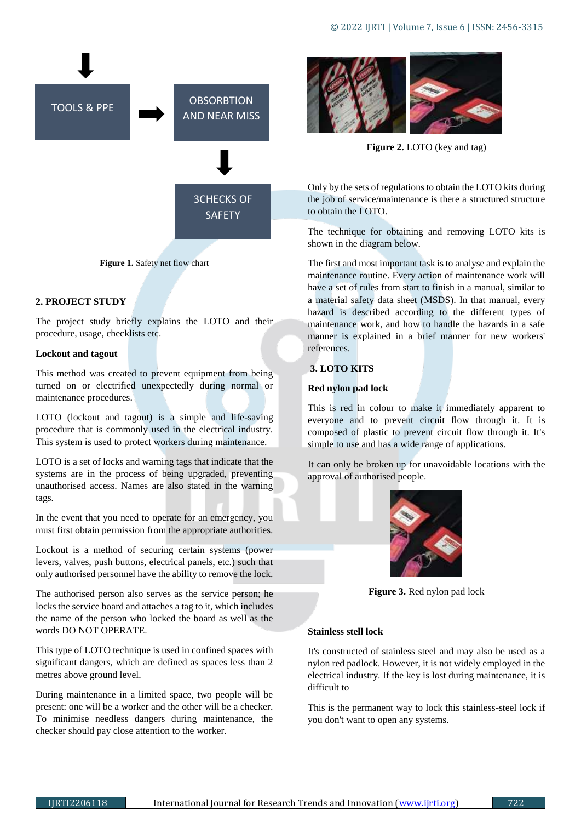

**Figure 1.** Safety net flow chart

# **2. PROJECT STUDY**

The project study briefly explains the LOTO and their procedure, usage, checklists etc.

#### **Lockout and tagout**

This method was created to prevent equipment from being turned on or electrified unexpectedly during normal or maintenance procedures.

LOTO (lockout and tagout) is a simple and life-saving procedure that is commonly used in the electrical industry. This system is used to protect workers during maintenance.

LOTO is a set of locks and warning tags that indicate that the systems are in the process of being upgraded, preventing unauthorised access. Names are also stated in the warning tags.

In the event that you need to operate for an emergency, you must first obtain permission from the appropriate authorities.

Lockout is a method of securing certain systems (power levers, valves, push buttons, electrical panels, etc.) such that only authorised personnel have the ability to remove the lock.

The authorised person also serves as the service person; he locks the service board and attaches a tag to it, which includes the name of the person who locked the board as well as the words DO NOT OPERATE.

This type of LOTO technique is used in confined spaces with significant dangers, which are defined as spaces less than 2 metres above ground level.

During maintenance in a limited space, two people will be present: one will be a worker and the other will be a checker. To minimise needless dangers during maintenance, the checker should pay close attention to the worker.



**Figure 2.** LOTO (key and tag)

Only by the sets of regulations to obtain the LOTO kits during the job of service/maintenance is there a structured structure to obtain the LOTO.

The technique for obtaining and removing LOTO kits is shown in the diagram below.

The first and most important task is to analyse and explain the maintenance routine. Every action of maintenance work will have a set of rules from start to finish in a manual, similar to a material safety data sheet (MSDS). In that manual, every hazard is described according to the different types of maintenance work, and how to handle the hazards in a safe manner is explained in a brief manner for new workers' references.

# **3. LOTO KITS**

#### **Red nylon pad lock**

This is red in colour to make it immediately apparent to everyone and to prevent circuit flow through it. It is composed of plastic to prevent circuit flow through it. It's simple to use and has a wide range of applications.

It can only be broken up for unavoidable locations with the approval of authorised people.



**Figure 3.** Red nylon pad lock

#### **Stainless stell lock**

It's constructed of stainless steel and may also be used as a nylon red padlock. However, it is not widely employed in the electrical industry. If the key is lost during maintenance, it is difficult to

This is the permanent way to lock this stainless-steel lock if you don't want to open any systems.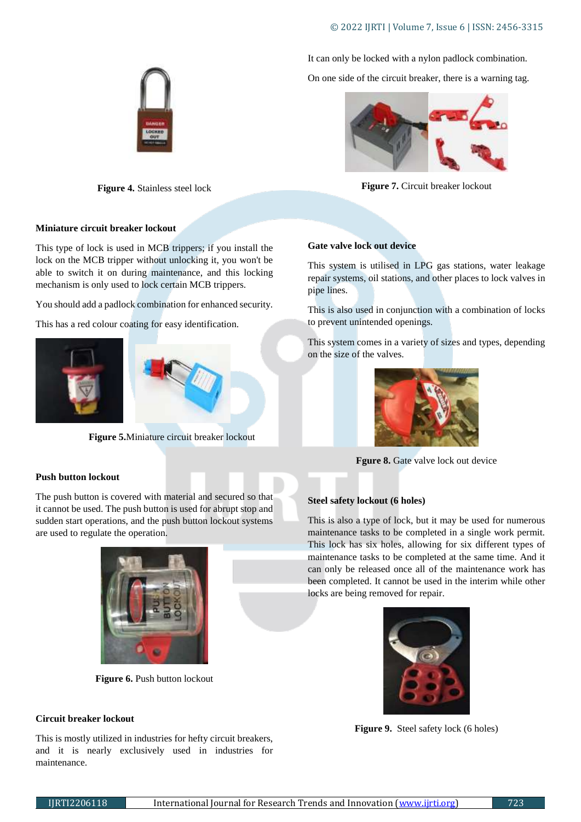# © 2022 IJRTI | Volume 7, Issue 6 | ISSN: 2456-3315

It can only be locked with a nylon padlock combination.

On one side of the circuit breaker, there is a warning tag.



**Figure 7.** Circuit breaker lockout

# **Miniature circuit breaker lockout**

This type of lock is used in MCB trippers; if you install the lock on the MCB tripper without unlocking it, you won't be able to switch it on during maintenance, and this locking mechanism is only used to lock certain MCB trippers.

**Figure 4.** Stainless steel lock

You should add a padlock combination for enhanced security.

This has a red colour coating for easy identification.





**Figure 5.**Miniature circuit breaker lockout

# **Push button lockout**

The push button is covered with material and secured so that it cannot be used. The push button is used for abrupt stop and sudden start operations, and the push button lockout systems are used to regulate the operation.



**Figure 6. Push button lockout** 

#### **Circuit breaker lockout**

This is mostly utilized in industries for hefty circuit breakers, and it is nearly exclusively used in industries for maintenance.



This system is utilised in LPG gas stations, water leakage repair systems, oil stations, and other places to lock valves in pipe lines.

This is also used in conjunction with a combination of locks to prevent unintended openings.

This system comes in a variety of sizes and types, depending on the size of the valves.



**Fgure 8.** Gate valve lock out device

#### **Steel safety lockout (6 holes)**

This is also a type of lock, but it may be used for numerous maintenance tasks to be completed in a single work permit. This lock has six holes, allowing for six different types of maintenance tasks to be completed at the same time. And it can only be released once all of the maintenance work has been completed. It cannot be used in the interim while other locks are being removed for repair.



**Figure 9.** Steel safety lock (6 holes)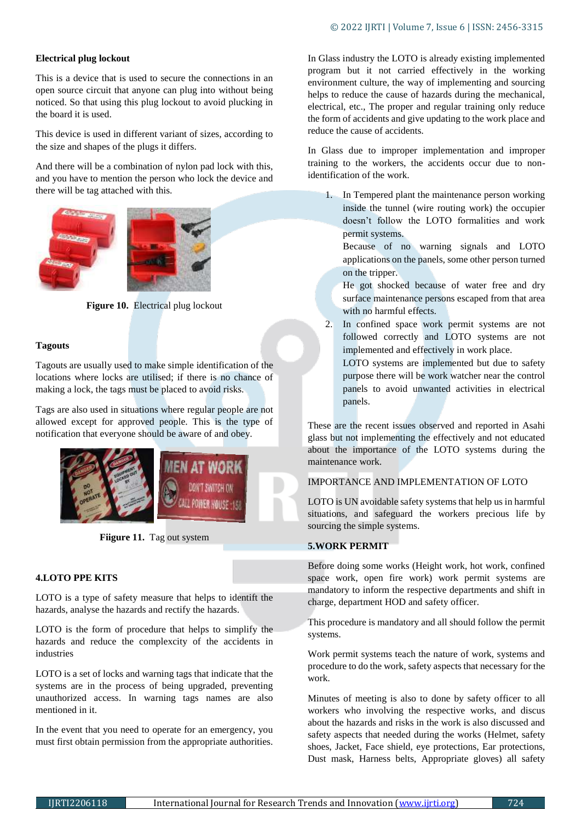# **Electrical plug lockout**

This is a device that is used to secure the connections in an open source circuit that anyone can plug into without being noticed. So that using this plug lockout to avoid plucking in the board it is used.

This device is used in different variant of sizes, according to the size and shapes of the plugs it differs.

And there will be a combination of nylon pad lock with this, and you have to mention the person who lock the device and there will be tag attached with this.





Figure 10. Electrical plug lockout

# **Tagouts**

Tagouts are usually used to make simple identification of the locations where locks are utilised; if there is no chance of making a lock, the tags must be placed to avoid risks.

Tags are also used in situations where regular people are not allowed except for approved people. This is the type of notification that everyone should be aware of and obey.



Fiigure 11. Tag out system

#### **4.LOTO PPE KITS**

LOTO is a type of safety measure that helps to identift the hazards, analyse the hazards and rectify the hazards.

LOTO is the form of procedure that helps to simplify the hazards and reduce the complexcity of the accidents in industries

LOTO is a set of locks and warning tags that indicate that the systems are in the process of being upgraded, preventing unauthorized access. In warning tags names are also mentioned in it.

In the event that you need to operate for an emergency, you must first obtain permission from the appropriate authorities. In Glass industry the LOTO is already existing implemented program but it not carried effectively in the working environment culture, the way of implementing and sourcing helps to reduce the cause of hazards during the mechanical, electrical, etc., The proper and regular training only reduce the form of accidents and give updating to the work place and reduce the cause of accidents.

In Glass due to improper implementation and improper training to the workers, the accidents occur due to nonidentification of the work.

1. In Tempered plant the maintenance person working inside the tunnel (wire routing work) the occupier doesn't follow the LOTO formalities and work permit systems.

Because of no warning signals and LOTO applications on the panels, some other person turned on the tripper.

He got shocked because of water free and dry surface maintenance persons escaped from that area with no harmful effects.

2. In confined space work permit systems are not followed correctly and LOTO systems are not implemented and effectively in work place.

LOTO systems are implemented but due to safety purpose there will be work watcher near the control panels to avoid unwanted activities in electrical panels.

These are the recent issues observed and reported in Asahi glass but not implementing the effectively and not educated about the importance of the LOTO systems during the maintenance work.

#### IMPORTANCE AND IMPLEMENTATION OF LOTO

LOTO is UN avoidable safety systems that help us in harmful situations, and safeguard the workers precious life by sourcing the simple systems.

# **5.WORK PERMIT**

Before doing some works (Height work, hot work, confined space work, open fire work) work permit systems are mandatory to inform the respective departments and shift in charge, department HOD and safety officer.

This procedure is mandatory and all should follow the permit systems.

Work permit systems teach the nature of work, systems and procedure to do the work, safety aspects that necessary for the work.

Minutes of meeting is also to done by safety officer to all workers who involving the respective works, and discus about the hazards and risks in the work is also discussed and safety aspects that needed during the works (Helmet, safety shoes, Jacket, Face shield, eye protections, Ear protections, Dust mask, Harness belts, Appropriate gloves) all safety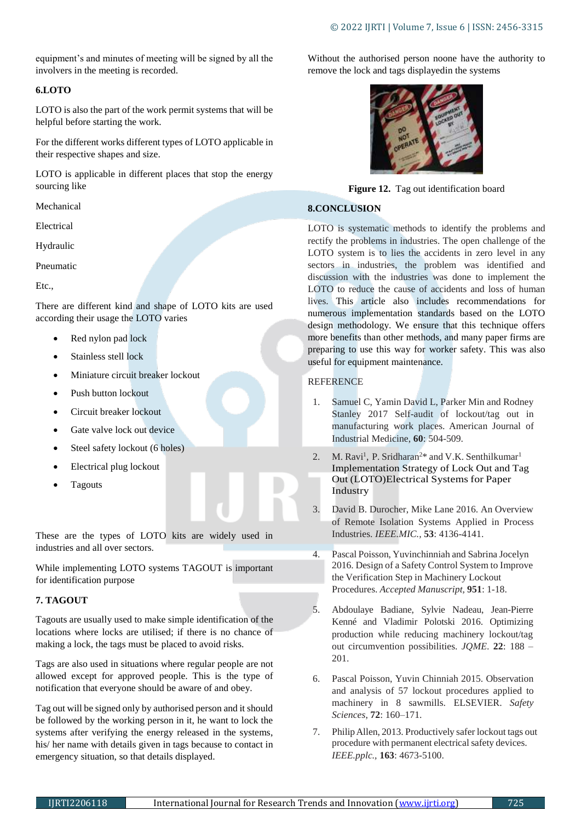equipment's and minutes of meeting will be signed by all the involvers in the meeting is recorded.

# **6.LOTO**

LOTO is also the part of the work permit systems that will be helpful before starting the work.

For the different works different types of LOTO applicable in their respective shapes and size.

LOTO is applicable in different places that stop the energy sourcing like

Mechanical

Electrical

Hydraulic

Pneumatic

Etc.,

There are different kind and shape of LOTO kits are used according their usage the LOTO varies

- Red nylon pad lock
- Stainless stell lock
- Miniature circuit breaker lockout
- Push button lockout
- Circuit breaker lockout
- Gate valve lock out device
- Steel safety lockout (6 holes)
- Electrical plug lockout
- Tagouts

These are the types of LOTO kits are widely used in industries and all over sectors.

While implementing LOTO systems TAGOUT is important for identification purpose

# **7. TAGOUT**

Tagouts are usually used to make simple identification of the locations where locks are utilised; if there is no chance of making a lock, the tags must be placed to avoid risks.

Tags are also used in situations where regular people are not allowed except for approved people. This is the type of notification that everyone should be aware of and obey.

Tag out will be signed only by authorised person and it should be followed by the working person in it, he want to lock the systems after verifying the energy released in the systems, his/ her name with details given in tags because to contact in emergency situation, so that details displayed.

Without the authorised person noone have the authority to remove the lock and tags displayedin the systems



**Figure 12.** Tag out identification board

# **8.CONCLUSION**

LOTO is systematic methods to identify the problems and rectify the problems in industries. The open challenge of the LOTO system is to lies the accidents in zero level in any sectors in industries, the problem was identified and discussion with the industries was done to implement the LOTO to reduce the cause of accidents and loss of human lives. This article also includes recommendations for numerous implementation standards based on the LOTO design methodology. We ensure that this technique offers more benefits than other methods, and many paper firms are preparing to use this way for worker safety. This was also useful for equipment maintenance.

#### **REFERENCE**

- 1. Samuel C, Yamin David L, Parker Min and Rodney Stanley 2017 Self-audit of lockout/tag out in manufacturing work places. American Journal of Industrial Medicine, **60**: 504-509.
- 2. M. Ravi<sup>1</sup>, P. Sridharan<sup>2\*</sup> and V.K. Senthilkumar<sup>1</sup> [Implementation](https://www.researchgate.net/publication/330824999_Implementation_Strategy_of_Lock_Out_and_Tag_Out_LOTO_Electrical_Systems_for_Paper_Industry?enrichId=rgreq-b028ad513e1e413bfea764db8fb53380-XXX&enrichSource=Y292ZXJQYWdlOzMzMDgyNDk5OTtBUzo3MjE3OTU0NzY4ODU1MDZAMTU0OTEwMDg2MDg1Nw%3D%3D&el=1_x_3&_esc=publicationCoverPdf) Strategy of Lock Out and Tag Out [\(LOTO\)Electrical](https://www.researchgate.net/publication/330824999_Implementation_Strategy_of_Lock_Out_and_Tag_Out_LOTO_Electrical_Systems_for_Paper_Industry?enrichId=rgreq-b028ad513e1e413bfea764db8fb53380-XXX&enrichSource=Y292ZXJQYWdlOzMzMDgyNDk5OTtBUzo3MjE3OTU0NzY4ODU1MDZAMTU0OTEwMDg2MDg1Nw%3D%3D&el=1_x_3&_esc=publicationCoverPdf) Systems for Paper [Industry](https://www.researchgate.net/publication/330824999_Implementation_Strategy_of_Lock_Out_and_Tag_Out_LOTO_Electrical_Systems_for_Paper_Industry?enrichId=rgreq-b028ad513e1e413bfea764db8fb53380-XXX&enrichSource=Y292ZXJQYWdlOzMzMDgyNDk5OTtBUzo3MjE3OTU0NzY4ODU1MDZAMTU0OTEwMDg2MDg1Nw%3D%3D&el=1_x_3&_esc=publicationCoverPdf)
- 3. David B. Durocher, Mike Lane 2016. An Overview of Remote Isolation Systems Applied in Process Industries. *IEEE.MIC.,* **53**: 4136-4141.
- 4. Pascal Poisson, Yuvinchinniah and Sabrina Jocelyn 2016. Design of a Safety Control System to Improve the Verification Step in Machinery Lockout Procedures. *Accepted Manuscript,* **951**: 1-18.
- 5. Abdoulaye Badiane, Sylvie Nadeau, Jean-Pierre Kenné and Vladimir Polotski 2016. Optimizing production while reducing machinery lockout/tag out circumvention possibilities. *JQME*. **22**: 188 – 201.
- 6. Pascal Poisson, Yuvin Chinniah 2015. Observation and analysis of 57 lockout procedures applied to machinery in 8 sawmills. ELSEVIER. *Safety Sciences*, **72**: 160–171.
- 7. PhilipAllen, 2013. Productively safer lockout tags out procedure with permanent electrical safety devices. *IEEE.pplc.,* **163**: 4673-5100.